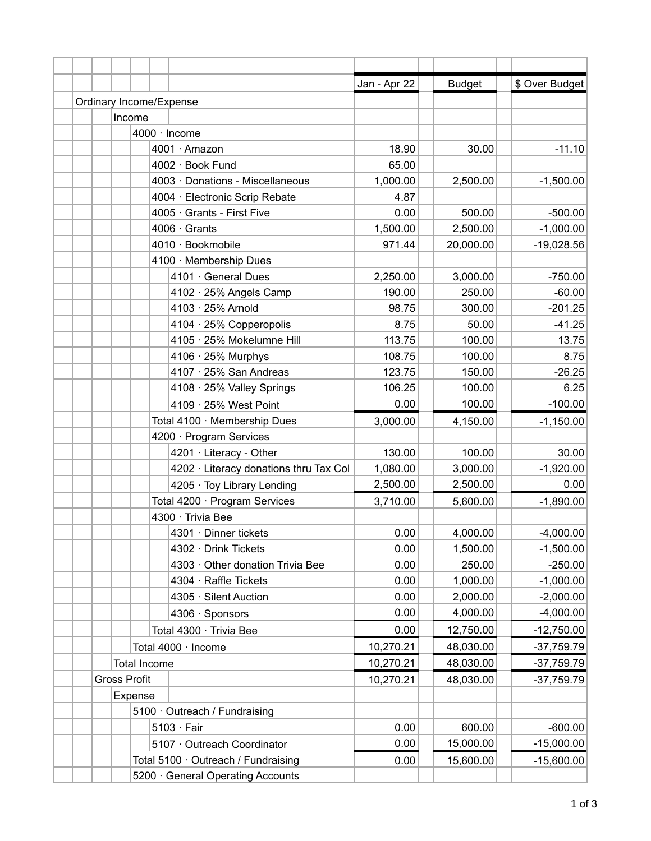|  |                                     |                   |                                        | Jan - Apr 22 | <b>Budget</b> | \$ Over Budget |
|--|-------------------------------------|-------------------|----------------------------------------|--------------|---------------|----------------|
|  |                                     |                   | Ordinary Income/Expense                |              |               |                |
|  |                                     | Income            |                                        |              |               |                |
|  |                                     |                   | 4000 · Income                          |              |               |                |
|  |                                     |                   | 4001 · Amazon                          | 18.90        | 30.00         | $-11.10$       |
|  |                                     |                   | 4002 · Book Fund                       | 65.00        |               |                |
|  |                                     |                   | 4003 · Donations - Miscellaneous       | 1,000.00     | 2,500.00      | $-1,500.00$    |
|  |                                     |                   | 4004 · Electronic Scrip Rebate         | 4.87         |               |                |
|  |                                     |                   | 4005 · Grants - First Five             | 0.00         | 500.00        | $-500.00$      |
|  |                                     |                   | $4006 \cdot$ Grants                    | 1,500.00     | 2,500.00      | $-1,000.00$    |
|  |                                     |                   | 4010 · Bookmobile                      | 971.44       | 20,000.00     | $-19,028.56$   |
|  |                                     |                   | 4100 · Membership Dues                 |              |               |                |
|  |                                     |                   | 4101 · General Dues                    | 2,250.00     | 3,000.00      | $-750.00$      |
|  |                                     |                   | 4102 · 25% Angels Camp                 | 190.00       | 250.00        | $-60.00$       |
|  |                                     |                   | 4103 · 25% Arnold                      | 98.75        | 300.00        | $-201.25$      |
|  |                                     |                   | 4104 · 25% Copperopolis                | 8.75         | 50.00         | $-41.25$       |
|  |                                     |                   | 4105 · 25% Mokelumne Hill              | 113.75       | 100.00        | 13.75          |
|  |                                     |                   | 4106 · 25% Murphys                     | 108.75       | 100.00        | 8.75           |
|  |                                     |                   | 4107 · 25% San Andreas                 | 123.75       | 150.00        | $-26.25$       |
|  |                                     |                   | 4108 · 25% Valley Springs              | 106.25       | 100.00        | 6.25           |
|  |                                     |                   | 4109 · 25% West Point                  | 0.00         | 100.00        | $-100.00$      |
|  |                                     |                   | Total 4100 · Membership Dues           | 3,000.00     | 4,150.00      | $-1,150.00$    |
|  |                                     |                   | 4200 · Program Services                |              |               |                |
|  |                                     |                   | 4201 · Literacy - Other                | 130.00       | 100.00        | 30.00          |
|  |                                     |                   | 4202 · Literacy donations thru Tax Col | 1,080.00     | 3,000.00      | $-1,920.00$    |
|  |                                     |                   | 4205 · Toy Library Lending             | 2,500.00     | 2,500.00      | 0.00           |
|  |                                     |                   | Total 4200 · Program Services          | 3,710.00     | 5,600.00      | $-1,890.00$    |
|  |                                     | 4300 · Trivia Bee |                                        |              |               |                |
|  |                                     |                   | 4301 · Dinner tickets                  | 0.00         | 4,000.00      | $-4,000.00$    |
|  |                                     |                   | 4302 · Drink Tickets                   | 0.00         | 1,500.00      | $-1,500.00$    |
|  |                                     |                   | 4303 · Other donation Trivia Bee       | 0.00         | 250.00        | $-250.00$      |
|  |                                     |                   | 4304 · Raffle Tickets                  | 0.00         | 1,000.00      | $-1,000.00$    |
|  |                                     |                   | 4305 · Silent Auction                  | 0.00         | 2,000.00      | $-2,000.00$    |
|  |                                     |                   | 4306 · Sponsors                        | 0.00         | 4,000.00      | $-4,000.00$    |
|  |                                     |                   | Total 4300 · Trivia Bee                | 0.00         | 12,750.00     | $-12,750.00$   |
|  | Total 4000 · Income                 |                   |                                        | 10,270.21    | 48,030.00     | $-37,759.79$   |
|  | <b>Total Income</b>                 |                   |                                        | 10,270.21    | 48,030.00     | $-37,759.79$   |
|  | <b>Gross Profit</b>                 |                   |                                        | 10,270.21    | 48,030.00     | $-37,759.79$   |
|  | Expense                             |                   |                                        |              |               |                |
|  | 5100 · Outreach / Fundraising       |                   |                                        |              |               |                |
|  |                                     |                   | $5103 \cdot Fair$                      | 0.00         | 600.00        | $-600.00$      |
|  |                                     |                   | 5107 · Outreach Coordinator            | 0.00         | 15,000.00     | $-15,000.00$   |
|  | Total 5100 · Outreach / Fundraising |                   |                                        | 0.00         | 15,600.00     | $-15,600.00$   |
|  |                                     |                   | 5200 · General Operating Accounts      |              |               |                |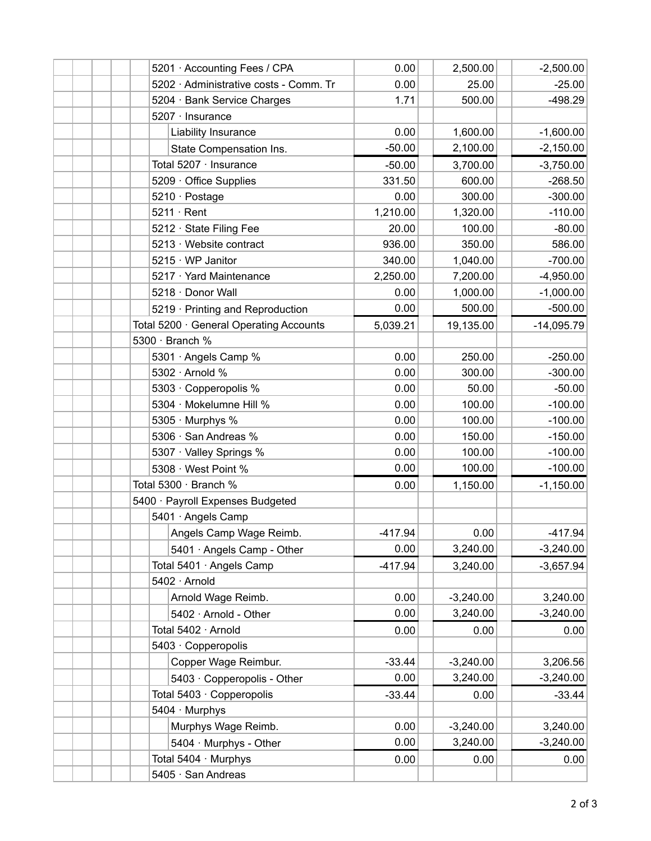|  |  | 5201 · Accounting Fees / CPA            | 0.00      | 2,500.00    | $-2,500.00$  |
|--|--|-----------------------------------------|-----------|-------------|--------------|
|  |  | 5202 · Administrative costs - Comm. Tr  | 0.00      | 25.00       | $-25.00$     |
|  |  | 5204 · Bank Service Charges             | 1.71      | 500.00      | $-498.29$    |
|  |  | 5207 · Insurance                        |           |             |              |
|  |  | Liability Insurance                     | 0.00      | 1,600.00    | $-1,600.00$  |
|  |  | State Compensation Ins.                 | $-50.00$  | 2,100.00    | $-2,150.00$  |
|  |  | Total 5207 · Insurance                  | $-50.00$  | 3,700.00    | $-3,750.00$  |
|  |  | $5209 \cdot$ Office Supplies            | 331.50    | 600.00      | $-268.50$    |
|  |  | 5210 · Postage                          | 0.00      | 300.00      | $-300.00$    |
|  |  | $5211 \cdot$ Rent                       | 1,210.00  | 1,320.00    | $-110.00$    |
|  |  | 5212 · State Filing Fee                 | 20.00     | 100.00      | $-80.00$     |
|  |  | 5213 · Website contract                 | 936.00    | 350.00      | 586.00       |
|  |  | 5215 · WP Janitor                       | 340.00    | 1,040.00    | $-700.00$    |
|  |  | 5217 · Yard Maintenance                 | 2,250.00  | 7,200.00    | $-4,950.00$  |
|  |  | 5218 · Donor Wall                       | 0.00      | 1,000.00    | $-1,000.00$  |
|  |  | 5219 · Printing and Reproduction        | 0.00      | 500.00      | $-500.00$    |
|  |  | Total 5200 · General Operating Accounts | 5,039.21  | 19,135.00   | $-14,095.79$ |
|  |  | 5300 · Branch %                         |           |             |              |
|  |  | 5301 · Angels Camp %                    | 0.00      | 250.00      | $-250.00$    |
|  |  | 5302 · Arnold %                         | 0.00      | 300.00      | $-300.00$    |
|  |  | 5303 · Copperopolis %                   | 0.00      | 50.00       | $-50.00$     |
|  |  | 5304 · Mokelumne Hill %                 | 0.00      | 100.00      | $-100.00$    |
|  |  | 5305 · Murphys %                        | 0.00      | 100.00      | $-100.00$    |
|  |  | 5306 · San Andreas %                    | 0.00      | 150.00      | $-150.00$    |
|  |  | 5307 · Valley Springs %                 | 0.00      | 100.00      | $-100.00$    |
|  |  | 5308 · West Point %                     | 0.00      | 100.00      | $-100.00$    |
|  |  | Total 5300 · Branch %                   | 0.00      | 1,150.00    | $-1,150.00$  |
|  |  | 5400 · Payroll Expenses Budgeted        |           |             |              |
|  |  | 5401 · Angels Camp                      |           |             |              |
|  |  | Angels Camp Wage Reimb.                 | $-417.94$ | 0.00        | $-417.94$    |
|  |  | 5401 · Angels Camp - Other              | 0.00      | 3,240.00    | $-3,240.00$  |
|  |  | Total 5401 · Angels Camp                | $-417.94$ | 3,240.00    | $-3,657.94$  |
|  |  | 5402 · Arnold                           |           |             |              |
|  |  | Arnold Wage Reimb.                      | 0.00      | $-3,240.00$ | 3,240.00     |
|  |  | 5402 · Arnold - Other                   | 0.00      | 3,240.00    | $-3,240.00$  |
|  |  | Total 5402 · Arnold                     | 0.00      | 0.00        | 0.00         |
|  |  | 5403 · Copperopolis                     |           |             |              |
|  |  | Copper Wage Reimbur.                    | $-33.44$  | $-3,240.00$ | 3,206.56     |
|  |  | 5403 · Copperopolis - Other             | 0.00      | 3,240.00    | $-3,240.00$  |
|  |  | Total 5403 · Copperopolis               | $-33.44$  | 0.00        | $-33.44$     |
|  |  | 5404 · Murphys                          |           |             |              |
|  |  | Murphys Wage Reimb.                     | 0.00      | $-3,240.00$ | 3,240.00     |
|  |  | 5404 · Murphys - Other                  | 0.00      | 3,240.00    | $-3,240.00$  |
|  |  | Total 5404 · Murphys                    | 0.00      | 0.00        | 0.00         |
|  |  | 5405 · San Andreas                      |           |             |              |